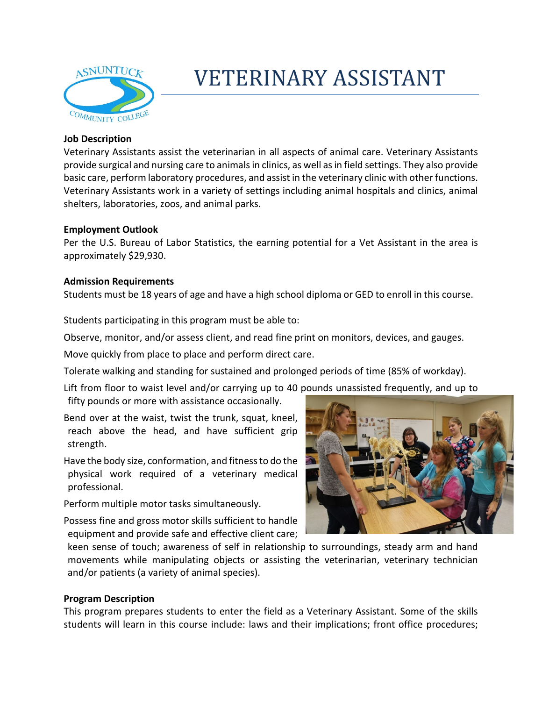

# VETERINARY ASSISTANT

## **Job Description**

Veterinary Assistants assist the veterinarian in all aspects of animal care. Veterinary Assistants provide surgical and nursing care to animals in clinics, as well as in field settings. They also provide basic care, perform laboratory procedures, and assist in the veterinary clinic with other functions. Veterinary Assistants work in a variety of settings including animal hospitals and clinics, animal shelters, laboratories, zoos, and animal parks.

#### **Employment Outlook**

Per the U.S. Bureau of Labor Statistics, the earning potential for a Vet Assistant in the area is approximately \$29,930.

### **Admission Requirements**

Students must be 18 years of age and have a high school diploma or GED to enroll in this course.

Students participating in this program must be able to:

Observe, monitor, and/or assess client, and read fine print on monitors, devices, and gauges.

Move quickly from place to place and perform direct care.

Tolerate walking and standing for sustained and prolonged periods of time (85% of workday).

Lift from floor to waist level and/or carrying up to 40 pounds unassisted frequently, and up to

fifty pounds or more with assistance occasionally.

- Bend over at the waist, twist the trunk, squat, kneel, reach above the head, and have sufficient grip strength.
- Have the body size, conformation, and fitness to do the physical work required of a veterinary medical professional.

Perform multiple motor tasks simultaneously.

Possess fine and gross motor skills sufficient to handle equipment and provide safe and effective client care;



keen sense of touch; awareness of self in relationship to surroundings, steady arm and hand movements while manipulating objects or assisting the veterinarian, veterinary technician and/or patients (a variety of animal species).

## **Program Description**

This program prepares students to enter the field as a Veterinary Assistant. Some of the skills students will learn in this course include: laws and their implications; front office procedures;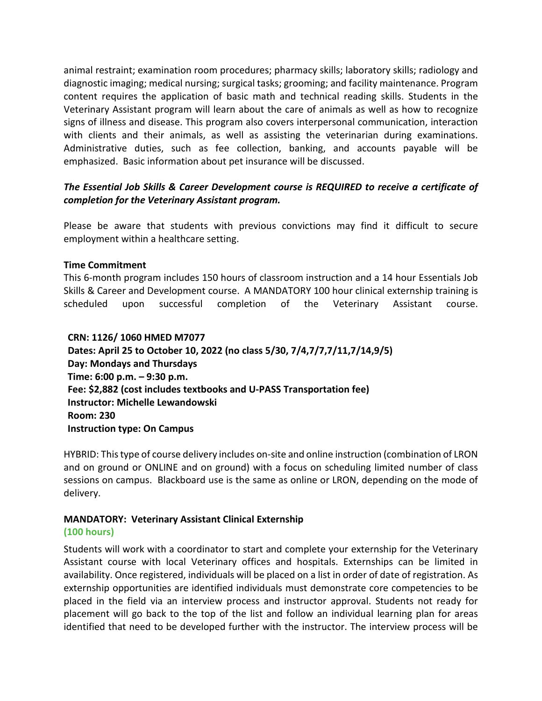animal restraint; examination room procedures; pharmacy skills; laboratory skills; radiology and diagnostic imaging; medical nursing; surgical tasks; grooming; and facility maintenance. Program content requires the application of basic math and technical reading skills. Students in the Veterinary Assistant program will learn about the care of animals as well as how to recognize signs of illness and disease. This program also covers interpersonal communication, interaction with clients and their animals, as well as assisting the veterinarian during examinations. Administrative duties, such as fee collection, banking, and accounts payable will be emphasized. Basic information about pet insurance will be discussed.

## *The Essential Job Skills & Career Development course is REQUIRED to receive a certificate of completion for the Veterinary Assistant program.*

Please be aware that students with previous convictions may find it difficult to secure employment within a healthcare setting.

## **Time Commitment**

This 6-month program includes 150 hours of classroom instruction and a 14 hour Essentials Job Skills & Career and Development course. A MANDATORY 100 hour clinical externship training is scheduled upon successful completion of the Veterinary Assistant course.

**CRN: 1126/ 1060 HMED M7077 Dates: April 25 to October 10, 2022 (no class 5/30, 7/4,7/7,7/11,7/14,9/5) Day: Mondays and Thursdays Time: 6:00 p.m. – 9:30 p.m. Fee: \$2,882 (cost includes textbooks and U-PASS Transportation fee) Instructor: Michelle Lewandowski Room: 230 Instruction type: On Campus**

HYBRID: This type of course delivery includes on-site and online instruction (combination of LRON and on ground or ONLINE and on ground) with a focus on scheduling limited number of class sessions on campus. Blackboard use is the same as online or LRON, depending on the mode of delivery.

# **MANDATORY: Veterinary Assistant Clinical Externship**

## **(100 hours)**

Students will work with a coordinator to start and complete your externship for the Veterinary Assistant course with local Veterinary offices and hospitals. Externships can be limited in availability. Once registered, individuals will be placed on a list in order of date of registration. As externship opportunities are identified individuals must demonstrate core competencies to be placed in the field via an interview process and instructor approval. Students not ready for placement will go back to the top of the list and follow an individual learning plan for areas identified that need to be developed further with the instructor. The interview process will be